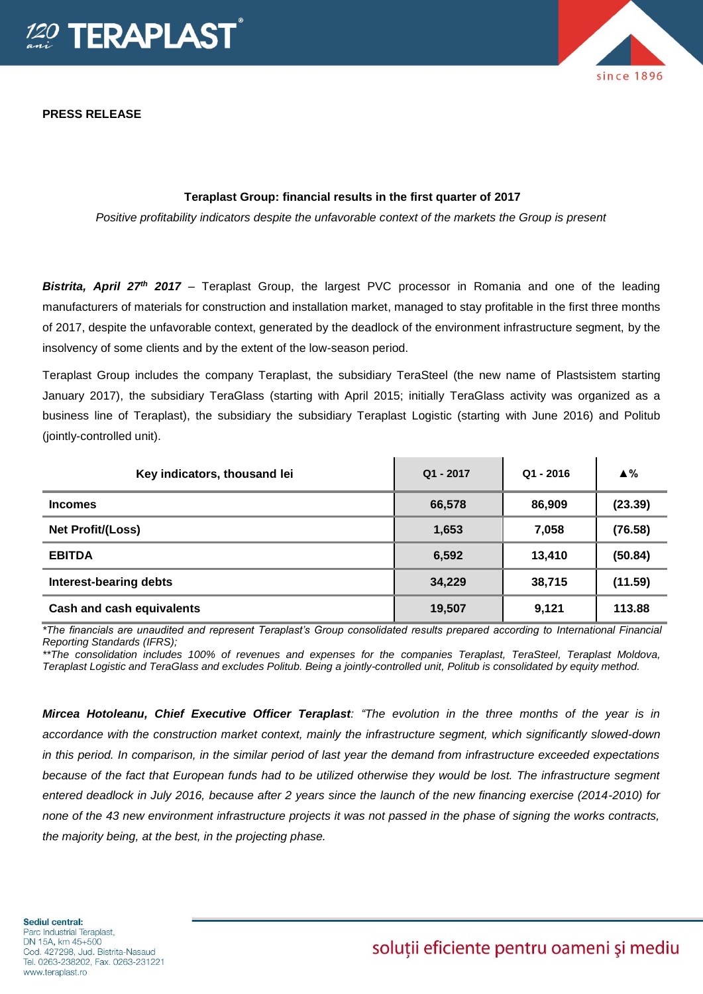

**PRESS RELEASE**

# since 1896

# **Teraplast Group: financial results in the first quarter of 2017**

*Positive profitability indicators despite the unfavorable context of the markets the Group is present*

*Bistrita, April 27th 2017* – Teraplast Group, the largest PVC processor in Romania and one of the leading manufacturers of materials for construction and installation market, managed to stay profitable in the first three months of 2017, despite the unfavorable context, generated by the deadlock of the environment infrastructure segment, by the insolvency of some clients and by the extent of the low-season period.

Teraplast Group includes the company Teraplast, the subsidiary TeraSteel (the new name of Plastsistem starting January 2017), the subsidiary TeraGlass (starting with April 2015; initially TeraGlass activity was organized as a business line of Teraplast), the subsidiary the subsidiary Teraplast Logistic (starting with June 2016) and Politub (jointly-controlled unit).

| Key indicators, thousand lei | $Q1 - 2017$ | $Q1 - 2016$ | $\triangle$ % |
|------------------------------|-------------|-------------|---------------|
| <b>Incomes</b>               | 66,578      | 86,909      | (23.39)       |
| <b>Net Profit/(Loss)</b>     | 1,653       | 7,058       | (76.58)       |
| <b>EBITDA</b>                | 6,592       | 13,410      | (50.84)       |
| Interest-bearing debts       | 34,229      | 38,715      | (11.59)       |
| Cash and cash equivalents    | 19,507      | 9,121       | 113.88        |

*\*The financials are unaudited and represent Teraplast's Group consolidated results prepared according to International Financial Reporting Standards (IFRS);*

*\*\*The consolidation includes 100% of revenues and expenses for the companies Teraplast, TeraSteel, Teraplast Moldova, Teraplast Logistic and TeraGlass and excludes Politub. Being a jointly-controlled unit, Politub is consolidated by equity method.* 

*Mircea Hotoleanu, Chief Executive Officer Teraplast: "The evolution in the three months of the year is in accordance with the construction market context, mainly the infrastructure segment, which significantly slowed-down in this period. In comparison, in the similar period of last year the demand from infrastructure exceeded expectations because of the fact that European funds had to be utilized otherwise they would be lost. The infrastructure segment entered deadlock in July 2016, because after 2 years since the launch of the new financing exercise (2014-2010) for none of the 43 new environment infrastructure projects it was not passed in the phase of signing the works contracts, the majority being, at the best, in the projecting phase.*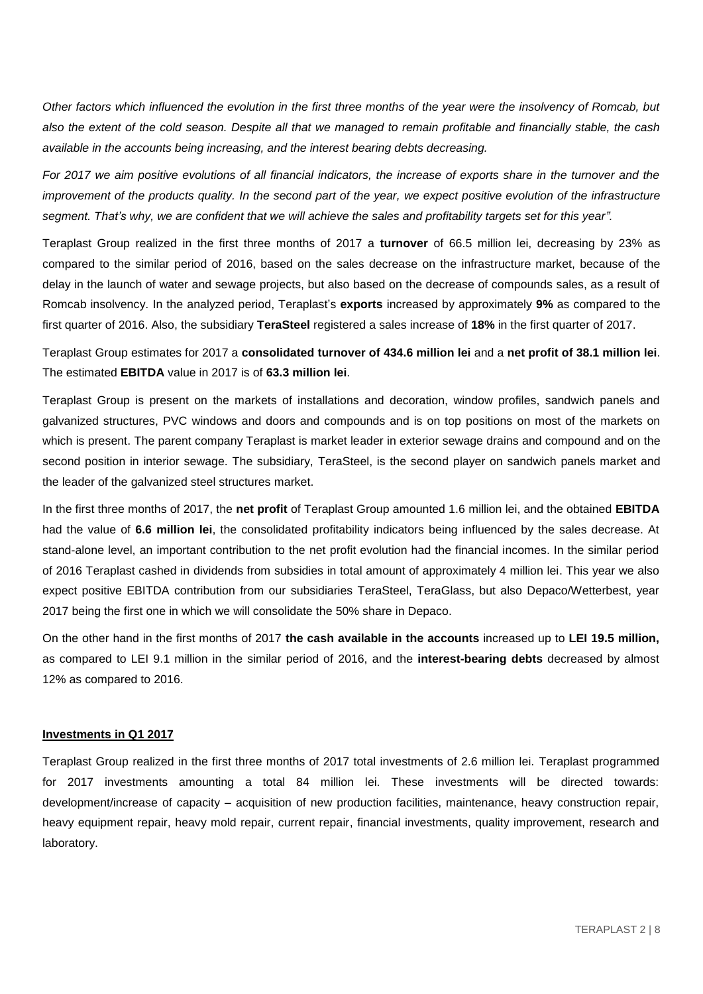*Other factors which influenced the evolution in the first three months of the year were the insolvency of Romcab, but also the extent of the cold season. Despite all that we managed to remain profitable and financially stable, the cash available in the accounts being increasing, and the interest bearing debts decreasing.*

*For 2017 we aim positive evolutions of all financial indicators, the increase of exports share in the turnover and the improvement of the products quality. In the second part of the year, we expect positive evolution of the infrastructure segment. That's why, we are confident that we will achieve the sales and profitability targets set for this year".*

Teraplast Group realized in the first three months of 2017 a **turnover** of 66.5 million lei, decreasing by 23% as compared to the similar period of 2016, based on the sales decrease on the infrastructure market, because of the delay in the launch of water and sewage projects, but also based on the decrease of compounds sales, as a result of Romcab insolvency. In the analyzed period, Teraplast's **exports** increased by approximately **9%** as compared to the first quarter of 2016. Also, the subsidiary **TeraSteel** registered a sales increase of **18%** in the first quarter of 2017.

Teraplast Group estimates for 2017 a **consolidated turnover of 434.6 million lei** and a **net profit of 38.1 million lei**. The estimated **EBITDA** value in 2017 is of **63.3 million lei**.

Teraplast Group is present on the markets of installations and decoration, window profiles, sandwich panels and galvanized structures, PVC windows and doors and compounds and is on top positions on most of the markets on which is present. The parent company Teraplast is market leader in exterior sewage drains and compound and on the second position in interior sewage. The subsidiary, TeraSteel, is the second player on sandwich panels market and the leader of the galvanized steel structures market.

In the first three months of 2017, the **net profit** of Teraplast Group amounted 1.6 million lei, and the obtained **EBITDA** had the value of **6.6 million lei**, the consolidated profitability indicators being influenced by the sales decrease. At stand-alone level, an important contribution to the net profit evolution had the financial incomes. In the similar period of 2016 Teraplast cashed in dividends from subsidies in total amount of approximately 4 million lei. This year we also expect positive EBITDA contribution from our subsidiaries TeraSteel, TeraGlass, but also Depaco/Wetterbest, year 2017 being the first one in which we will consolidate the 50% share in Depaco.

On the other hand in the first months of 2017 **the cash available in the accounts** increased up to **LEI 19.5 million,**  as compared to LEI 9.1 million in the similar period of 2016, and the **interest-bearing debts** decreased by almost 12% as compared to 2016.

### **Investments in Q1 2017**

Teraplast Group realized in the first three months of 2017 total investments of 2.6 million lei. Teraplast programmed for 2017 investments amounting a total 84 million lei. These investments will be directed towards: development/increase of capacity – acquisition of new production facilities, maintenance, heavy construction repair, heavy equipment repair, heavy mold repair, current repair, financial investments, quality improvement, research and laboratory.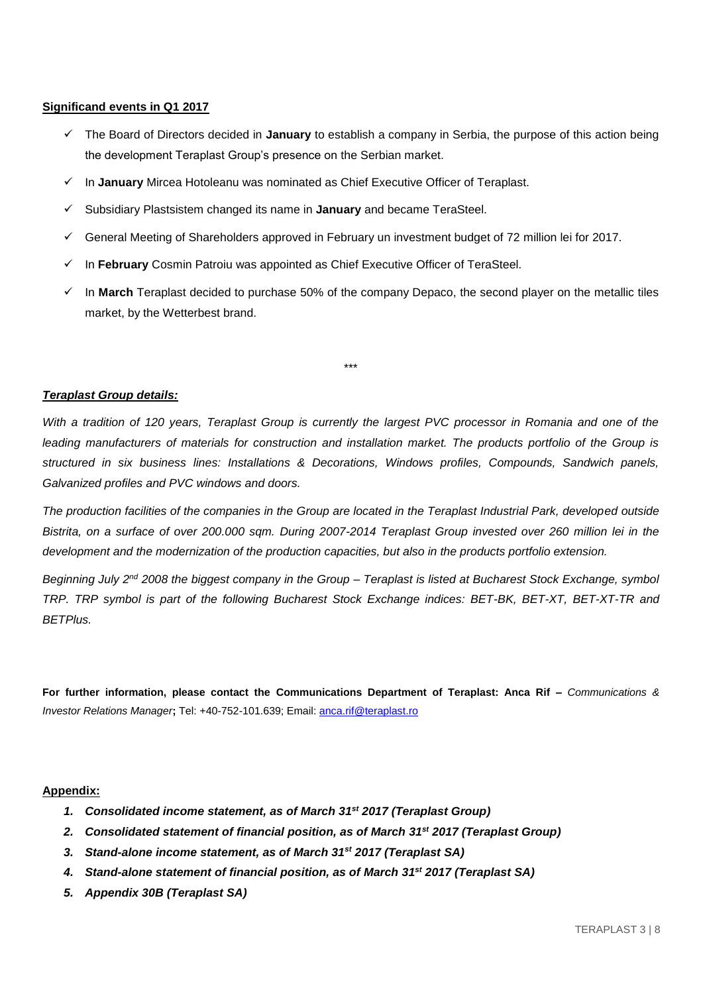### **Significand events in Q1 2017**

- The Board of Directors decided in **January** to establish a company in Serbia, the purpose of this action being the development Teraplast Group's presence on the Serbian market.
- In **January** Mircea Hotoleanu was nominated as Chief Executive Officer of Teraplast.
- Subsidiary Plastsistem changed its name in **January** and became TeraSteel.
- $\checkmark$  General Meeting of Shareholders approved in February un investment budget of 72 million lei for 2017.
- In **February** Cosmin Patroiu was appointed as Chief Executive Officer of TeraSteel.
- In **March** Teraplast decided to purchase 50% of the company Depaco, the second player on the metallic tiles market, by the Wetterbest brand.

### *Teraplast Group details:*

*With a tradition of 120 years, Teraplast Group is currently the largest PVC processor in Romania and one of the*  leading manufacturers of materials for construction and installation market. The products portfolio of the Group is *structured in six business lines: Installations & Decorations, Windows profiles, Compounds, Sandwich panels, Galvanized profiles and PVC windows and doors.*

\*\*\*

*The production facilities of the companies in the Group are located in the Teraplast Industrial Park, developed outside Bistrita, on a surface of over 200.000 sqm. During 2007-2014 Teraplast Group invested over 260 million lei in the development and the modernization of the production capacities, but also in the products portfolio extension.* 

*Beginning July 2nd 2008 the biggest company in the Group – Teraplast is listed at Bucharest Stock Exchange, symbol TRP. TRP symbol is part of the following Bucharest Stock Exchange indices: BET-BK, BET-XT, BET-XT-TR and BETPlus.*

**For further information, please contact the Communications Department of Teraplast: Anca Rif –** *Communications & Investor Relations Manager***;** Tel: +40-752-101.639; Email[: anca.rif@teraplast.ro](mailto:anca.rif@teraplast.ro)

### **Appendix:**

- *1. Consolidated income statement, as of March 31st 2017 (Teraplast Group)*
- *2. Consolidated statement of financial position, as of March 31st 2017 (Teraplast Group)*
- *3. Stand-alone income statement, as of March 31st 2017 (Teraplast SA)*
- *4. Stand-alone statement of financial position, as of March 31st 2017 (Teraplast SA)*
- *5. Appendix 30B (Teraplast SA)*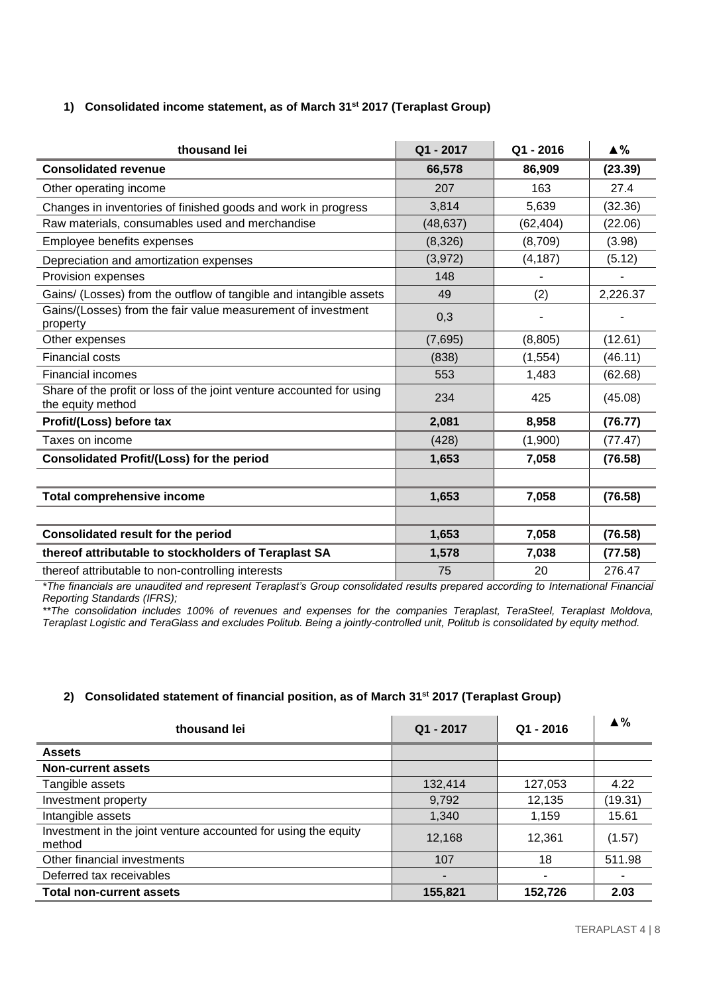# **1) Consolidated income statement, as of March 31st 2017 (Teraplast Group)**

| thousand lei                                                                              | Q1 - 2017 | $Q1 - 2016$ | $\triangle$ % |
|-------------------------------------------------------------------------------------------|-----------|-------------|---------------|
| <b>Consolidated revenue</b>                                                               | 66,578    | 86,909      | (23.39)       |
| Other operating income                                                                    | 207       | 163         | 27.4          |
| Changes in inventories of finished goods and work in progress                             | 3,814     | 5,639       | (32.36)       |
| Raw materials, consumables used and merchandise                                           | (48, 637) | (62, 404)   | (22.06)       |
| Employee benefits expenses                                                                | (8,326)   | (8,709)     | (3.98)        |
| Depreciation and amortization expenses                                                    | (3,972)   | (4, 187)    | (5.12)        |
| Provision expenses                                                                        | 148       |             |               |
| Gains/ (Losses) from the outflow of tangible and intangible assets                        | 49        | (2)         | 2,226.37      |
| Gains/(Losses) from the fair value measurement of investment<br>property                  | 0,3       |             |               |
| Other expenses                                                                            | (7,695)   | (8,805)     | (12.61)       |
| <b>Financial costs</b>                                                                    | (838)     | (1, 554)    | (46.11)       |
| <b>Financial incomes</b>                                                                  | 553       | 1,483       | (62.68)       |
| Share of the profit or loss of the joint venture accounted for using<br>the equity method | 234       | 425         | (45.08)       |
| Profit/(Loss) before tax                                                                  | 2,081     | 8,958       | (76.77)       |
| Taxes on income                                                                           | (428)     | (1,900)     | (77.47)       |
| Consolidated Profit/(Loss) for the period                                                 | 1,653     | 7,058       | (76.58)       |
|                                                                                           |           |             |               |
| <b>Total comprehensive income</b>                                                         | 1,653     | 7,058       | (76.58)       |
|                                                                                           |           |             |               |
| Consolidated result for the period                                                        | 1,653     | 7,058       | (76.58)       |
| thereof attributable to stockholders of Teraplast SA                                      | 1,578     | 7,038       | (77.58)       |
| thereof attributable to non-controlling interests                                         | 75        | 20          | 276.47        |

*\*The financials are unaudited and represent Teraplast's Group consolidated results prepared according to International Financial Reporting Standards (IFRS);*

*\*\*The consolidation includes 100% of revenues and expenses for the companies Teraplast, TeraSteel, Teraplast Moldova, Teraplast Logistic and TeraGlass and excludes Politub. Being a jointly-controlled unit, Politub is consolidated by equity method.* 

### **2) Consolidated statement of financial position, as of March 31st 2017 (Teraplast Group)**

| thousand lei                                                             | Q1 - 2017 | $Q1 - 2016$ | $\triangle$ % |
|--------------------------------------------------------------------------|-----------|-------------|---------------|
| <b>Assets</b>                                                            |           |             |               |
| <b>Non-current assets</b>                                                |           |             |               |
| Tangible assets                                                          | 132,414   | 127,053     | 4.22          |
| Investment property                                                      | 9,792     | 12,135      | (19.31)       |
| Intangible assets                                                        | 1,340     | 1,159       | 15.61         |
| Investment in the joint venture accounted for using the equity<br>method | 12,168    | 12,361      | (1.57)        |
| Other financial investments                                              | 107       | 18          | 511.98        |
| Deferred tax receivables                                                 | -         |             |               |
| <b>Total non-current assets</b>                                          | 155,821   | 152,726     | 2.03          |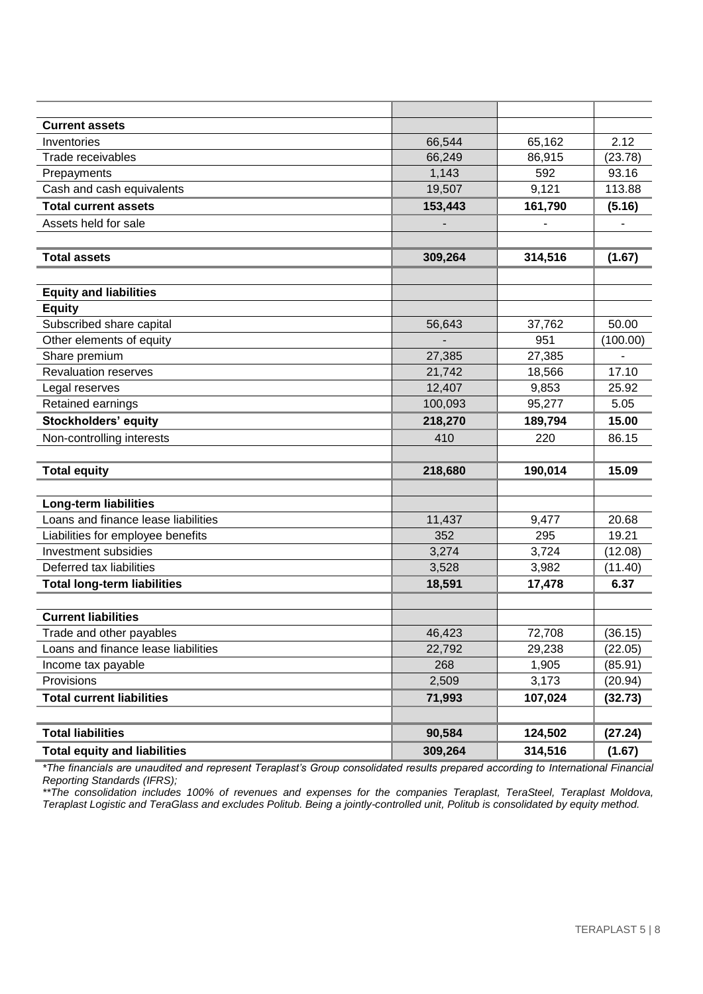| <b>Current assets</b>               |         |         |          |
|-------------------------------------|---------|---------|----------|
| Inventories                         | 66,544  | 65,162  | 2.12     |
| Trade receivables                   | 66,249  | 86,915  | (23.78)  |
| Prepayments                         | 1,143   | 592     | 93.16    |
| Cash and cash equivalents           | 19,507  | 9,121   | 113.88   |
| <b>Total current assets</b>         | 153,443 | 161,790 | (5.16)   |
| Assets held for sale                |         |         |          |
|                                     |         |         |          |
| <b>Total assets</b>                 | 309,264 | 314,516 | (1.67)   |
| <b>Equity and liabilities</b>       |         |         |          |
| <b>Equity</b>                       |         |         |          |
| Subscribed share capital            | 56,643  | 37,762  | 50.00    |
| Other elements of equity            |         | 951     | (100.00) |
| Share premium                       | 27,385  | 27,385  | Ĭ.       |
| <b>Revaluation reserves</b>         | 21,742  | 18,566  | 17.10    |
| Legal reserves                      | 12,407  | 9,853   | 25.92    |
| Retained earnings                   | 100,093 | 95,277  | 5.05     |
| <b>Stockholders' equity</b>         | 218,270 | 189,794 | 15.00    |
| Non-controlling interests           | 410     | 220     | 86.15    |
|                                     |         |         |          |
| <b>Total equity</b>                 | 218,680 | 190,014 | 15.09    |
|                                     |         |         |          |
| <b>Long-term liabilities</b>        |         |         |          |
| Loans and finance lease liabilities | 11,437  | 9,477   | 20.68    |
| Liabilities for employee benefits   | 352     | 295     | 19.21    |
| Investment subsidies                | 3,274   | 3,724   | (12.08)  |
| Deferred tax liabilities            | 3,528   | 3,982   | (11.40)  |
| <b>Total long-term liabilities</b>  | 18,591  | 17,478  | 6.37     |
|                                     |         |         |          |
| <b>Current liabilities</b>          |         |         |          |
| Trade and other payables            | 46,423  | 72,708  | (36.15)  |
| Loans and finance lease liabilities | 22,792  | 29,238  | (22.05)  |
| Income tax payable                  | 268     | 1,905   | (85.91)  |
| Provisions                          | 2,509   | 3,173   | (20.94)  |
| <b>Total current liabilities</b>    | 71,993  | 107,024 | (32.73)  |
| <b>Total liabilities</b>            | 90,584  | 124,502 |          |
|                                     |         |         | (27.24)  |
| <b>Total equity and liabilities</b> | 309,264 | 314,516 | (1.67)   |

*\*The financials are unaudited and represent Teraplast's Group consolidated results prepared according to International Financial Reporting Standards (IFRS);*

*\*\*The consolidation includes 100% of revenues and expenses for the companies Teraplast, TeraSteel, Teraplast Moldova, Teraplast Logistic and TeraGlass and excludes Politub. Being a jointly-controlled unit, Politub is consolidated by equity method.*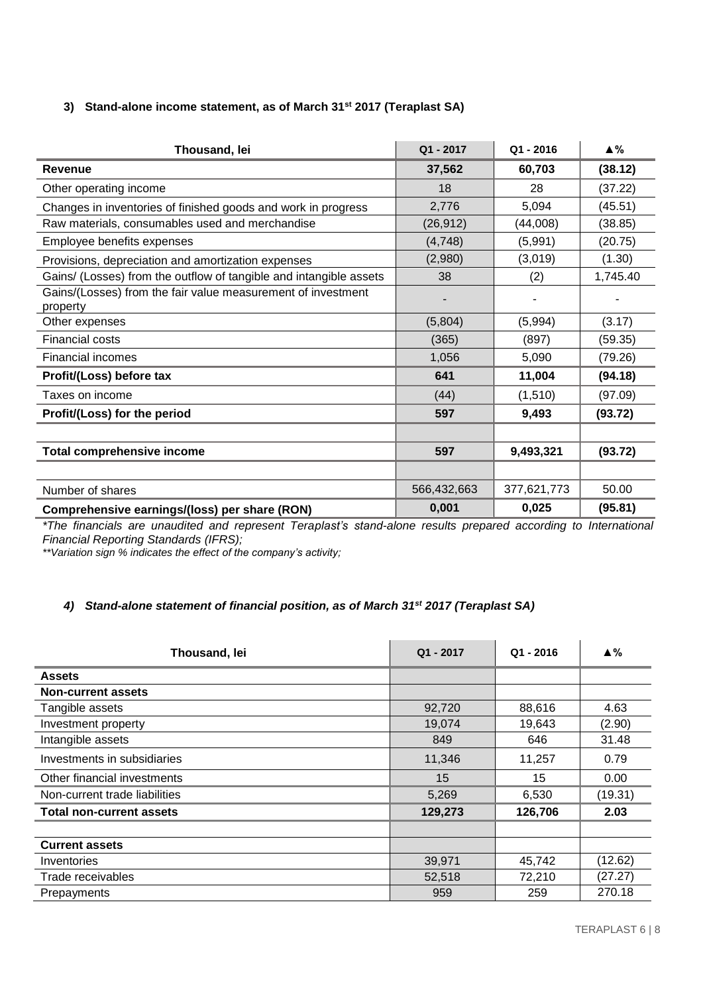# **3) Stand-alone income statement, as of March 31st 2017 (Teraplast SA)**

| Thousand, lei                                                            | Q1 - 2017   | $Q1 - 2016$ | $\blacktriangle$ % |
|--------------------------------------------------------------------------|-------------|-------------|--------------------|
| <b>Revenue</b>                                                           | 37,562      | 60,703      | (38.12)            |
| Other operating income                                                   | 18          | 28          | (37.22)            |
| Changes in inventories of finished goods and work in progress            | 2,776       | 5,094       | (45.51)            |
| Raw materials, consumables used and merchandise                          | (26, 912)   | (44,008)    | (38.85)            |
| Employee benefits expenses                                               | (4,748)     | (5,991)     | (20.75)            |
| Provisions, depreciation and amortization expenses                       | (2,980)     | (3,019)     | (1.30)             |
| Gains/ (Losses) from the outflow of tangible and intangible assets       | 38          | (2)         | 1,745.40           |
| Gains/(Losses) from the fair value measurement of investment<br>property |             |             |                    |
| Other expenses                                                           | (5,804)     | (5,994)     | (3.17)             |
| <b>Financial costs</b>                                                   | (365)       | (897)       | (59.35)            |
| <b>Financial incomes</b>                                                 | 1,056       | 5,090       | (79.26)            |
| Profit/(Loss) before tax                                                 | 641         | 11,004      | (94.18)            |
| Taxes on income                                                          | (44)        | (1, 510)    | (97.09)            |
| Profit/(Loss) for the period                                             | 597         | 9,493       | (93.72)            |
|                                                                          |             |             |                    |
| <b>Total comprehensive income</b>                                        | 597         | 9,493,321   | (93.72)            |
|                                                                          |             |             |                    |
| Number of shares                                                         | 566,432,663 | 377,621,773 | 50.00              |
| Comprehensive earnings/(loss) per share (RON)                            | 0,001       | 0,025       | (95.81)            |

*\*The financials are unaudited and represent Teraplast's stand-alone results prepared according to International Financial Reporting Standards (IFRS);*

*\*\*Variation sign % indicates the effect of the company's activity;*

### *4) Stand-alone statement of financial position, as of March 31st 2017 (Teraplast SA)*

| Thousand, lei                   | $Q1 - 2017$ | $Q1 - 2016$ | ▲%      |
|---------------------------------|-------------|-------------|---------|
| <b>Assets</b>                   |             |             |         |
| <b>Non-current assets</b>       |             |             |         |
| Tangible assets                 | 92,720      | 88,616      | 4.63    |
| Investment property             | 19,074      | 19,643      | (2.90)  |
| Intangible assets               | 849         | 646         | 31.48   |
| Investments in subsidiaries     | 11,346      | 11,257      | 0.79    |
| Other financial investments     | 15          | 15          | 0.00    |
| Non-current trade liabilities   | 5,269       | 6,530       | (19.31) |
| <b>Total non-current assets</b> | 129,273     | 126,706     | 2.03    |
|                                 |             |             |         |
| <b>Current assets</b>           |             |             |         |
| Inventories                     | 39,971      | 45,742      | (12.62) |
| Trade receivables               | 52,518      | 72,210      | (27.27) |
| Prepayments                     | 959         | 259         | 270.18  |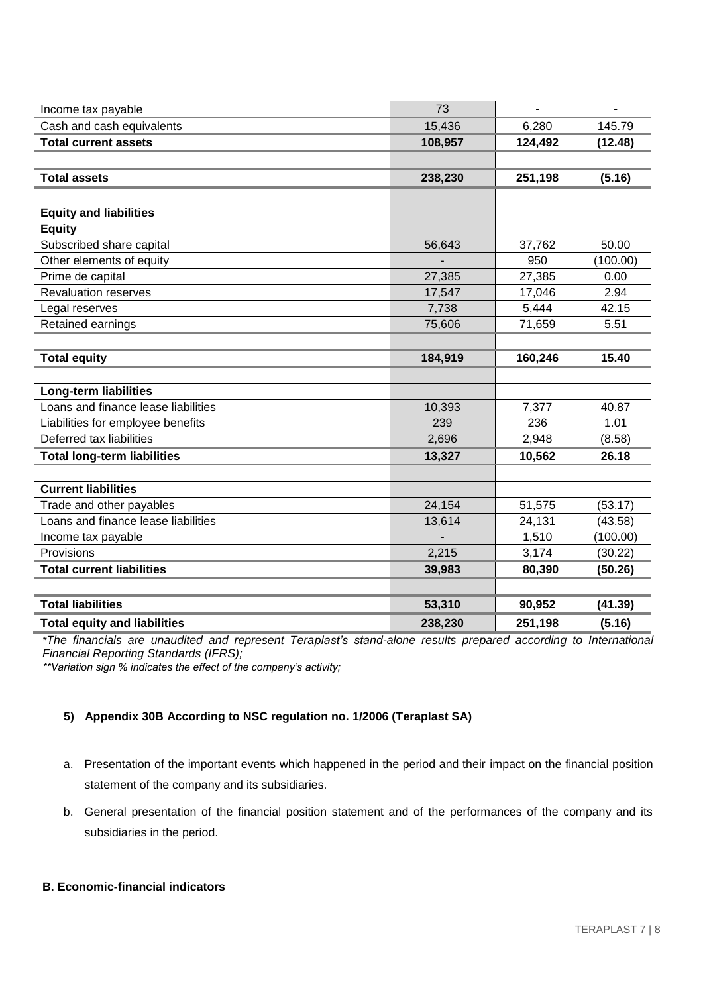| Income tax payable                  | 73      |         |          |
|-------------------------------------|---------|---------|----------|
| Cash and cash equivalents           | 15,436  | 6,280   | 145.79   |
| <b>Total current assets</b>         | 108,957 | 124,492 | (12.48)  |
|                                     |         |         |          |
| <b>Total assets</b>                 | 238,230 | 251,198 | (5.16)   |
|                                     |         |         |          |
| <b>Equity and liabilities</b>       |         |         |          |
| <b>Equity</b>                       |         |         |          |
| Subscribed share capital            | 56,643  | 37,762  | 50.00    |
| Other elements of equity            |         | 950     | (100.00) |
| Prime de capital                    | 27,385  | 27,385  | 0.00     |
| <b>Revaluation reserves</b>         | 17,547  | 17,046  | 2.94     |
| Legal reserves                      | 7,738   | 5,444   | 42.15    |
| Retained earnings                   | 75,606  | 71,659  | 5.51     |
|                                     |         |         |          |
| <b>Total equity</b>                 | 184,919 | 160,246 | 15.40    |
|                                     |         |         |          |
| <b>Long-term liabilities</b>        |         |         |          |
| Loans and finance lease liabilities | 10,393  | 7,377   | 40.87    |
| Liabilities for employee benefits   | 239     | 236     | 1.01     |
| Deferred tax liabilities            | 2,696   | 2,948   | (8.58)   |
| <b>Total long-term liabilities</b>  | 13,327  | 10,562  | 26.18    |
|                                     |         |         |          |
| <b>Current liabilities</b>          |         |         |          |
| Trade and other payables            | 24,154  | 51,575  | (53.17)  |
| Loans and finance lease liabilities | 13,614  | 24,131  | (43.58)  |
| Income tax payable                  |         | 1,510   | (100.00) |
| Provisions                          | 2,215   | 3,174   | (30.22)  |
| <b>Total current liabilities</b>    | 39,983  | 80,390  | (50.26)  |
|                                     |         |         |          |
| <b>Total liabilities</b>            | 53,310  | 90,952  | (41.39)  |
| <b>Total equity and liabilities</b> | 238,230 | 251,198 | (5.16)   |

*\*The financials are unaudited and represent Teraplast's stand-alone results prepared according to International Financial Reporting Standards (IFRS);*

*\*\*Variation sign % indicates the effect of the company's activity;*

### **5) Appendix 30B According to NSC regulation no. 1/2006 (Teraplast SA)**

- a. Presentation of the important events which happened in the period and their impact on the financial position statement of the company and its subsidiaries.
- b. General presentation of the financial position statement and of the performances of the company and its subsidiaries in the period.

# **B. Economic-financial indicators**